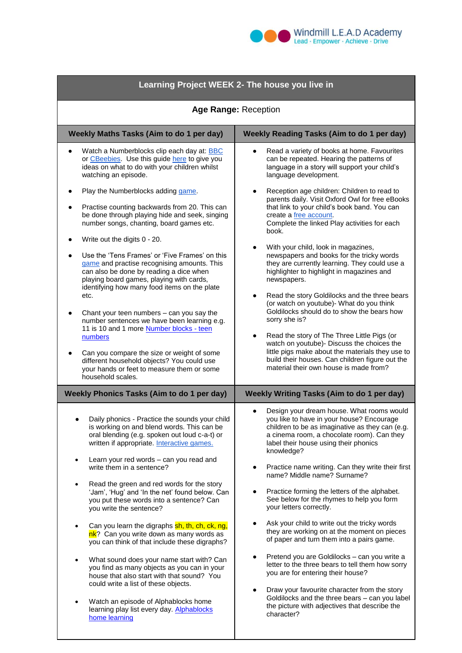

| Learning Project WEEK 2- The house you live in                                                                                                                                                                                                                                                                                                                                                                                                                    |                                                                                                                                                                                                                                                                                                                                                                                                                                                                                                  |  |  |  |
|-------------------------------------------------------------------------------------------------------------------------------------------------------------------------------------------------------------------------------------------------------------------------------------------------------------------------------------------------------------------------------------------------------------------------------------------------------------------|--------------------------------------------------------------------------------------------------------------------------------------------------------------------------------------------------------------------------------------------------------------------------------------------------------------------------------------------------------------------------------------------------------------------------------------------------------------------------------------------------|--|--|--|
| Age Range: Reception                                                                                                                                                                                                                                                                                                                                                                                                                                              |                                                                                                                                                                                                                                                                                                                                                                                                                                                                                                  |  |  |  |
| Weekly Maths Tasks (Aim to do 1 per day)                                                                                                                                                                                                                                                                                                                                                                                                                          | <b>Weekly Reading Tasks (Aim to do 1 per day)</b>                                                                                                                                                                                                                                                                                                                                                                                                                                                |  |  |  |
| Watch a Numberblocks clip each day at: <b>BBC</b><br>or CBeebies. Use this guide here to give you<br>ideas on what to do with your children whilst<br>watching an episode.                                                                                                                                                                                                                                                                                        | Read a variety of books at home. Favourites<br>can be repeated. Hearing the patterns of<br>language in a story will support your child's<br>language development.                                                                                                                                                                                                                                                                                                                                |  |  |  |
| Play the Numberblocks adding game.<br>Practise counting backwards from 20. This can<br>be done through playing hide and seek, singing<br>number songs, chanting, board games etc.<br>Write out the digits 0 - 20.<br>Use the 'Tens Frames' or 'Five Frames' on this<br>game and practise recognising amounts. This<br>can also be done by reading a dice when<br>playing board games, playing with cards,<br>identifying how many food items on the plate<br>etc. | Reception age children: Children to read to<br>parents daily. Visit Oxford Owl for free eBooks<br>that link to your child's book band. You can<br>create a free account.<br>Complete the linked Play activities for each<br>book.<br>With your child, look in magazines,<br>newspapers and books for the tricky words<br>they are currently learning. They could use a<br>highlighter to highlight in magazines and<br>newspapers.<br>Read the story Goldilocks and the three bears<br>$\bullet$ |  |  |  |
| Chant your teen numbers - can you say the<br>number sentences we have been learning e.g.<br>11 is 10 and 1 more Number blocks - teen<br>numbers<br>Can you compare the size or weight of some<br>different household objects? You could use<br>your hands or feet to measure them or some<br>household scales.                                                                                                                                                    | (or watch on youtube)- What do you think<br>Goldilocks should do to show the bears how<br>sorry she is?<br>Read the story of The Three Little Pigs (or<br>$\bullet$<br>watch on youtube)- Discuss the choices the<br>little pigs make about the materials they use to<br>build their houses. Can children figure out the<br>material their own house is made from?                                                                                                                               |  |  |  |
| <b>Weekly Phonics Tasks (Aim to do 1 per day)</b>                                                                                                                                                                                                                                                                                                                                                                                                                 | Weekly Writing Tasks (Aim to do 1 per day)                                                                                                                                                                                                                                                                                                                                                                                                                                                       |  |  |  |
| Daily phonics - Practice the sounds your child<br>is working on and blend words. This can be<br>oral blending (e.g. spoken out loud c-a-t) or<br>written if appropriate. Interactive games.<br>Learn your red words - can you read and<br>write them in a sentence?<br>Read the green and red words for the story<br>'Jam', 'Hug' and 'In the net' found below. Can<br>you put these words into a sentence? Can<br>you write the sentence?                        | Design your dream house. What rooms would<br>you like to have in your house? Encourage<br>children to be as imaginative as they can (e.g.<br>a cinema room, a chocolate room). Can they<br>label their house using their phonics<br>knowledge?<br>Practice name writing. Can they write their first<br>٠<br>name? Middle name? Surname?<br>Practice forming the letters of the alphabet.<br>See below for the rhymes to help you form<br>your letters correctly.                                 |  |  |  |
| Can you learn the digraphs sh, th, ch, ck, ng,<br>nk? Can you write down as many words as<br>you can think of that include these digraphs?                                                                                                                                                                                                                                                                                                                        | Ask your child to write out the tricky words<br>they are working on at the moment on pieces<br>of paper and turn them into a pairs game.                                                                                                                                                                                                                                                                                                                                                         |  |  |  |
| What sound does your name start with? Can<br>٠<br>you find as many objects as you can in your<br>house that also start with that sound? You<br>could write a list of these objects.<br>Watch an episode of Alphablocks home<br>learning play list every day. Alphablocks<br>home learning                                                                                                                                                                         | Pretend you are Goldilocks - can you write a<br>letter to the three bears to tell them how sorry<br>you are for entering their house?<br>Draw your favourite character from the story<br>Goldilocks and the three bears - can you label<br>the picture with adjectives that describe the<br>character?                                                                                                                                                                                           |  |  |  |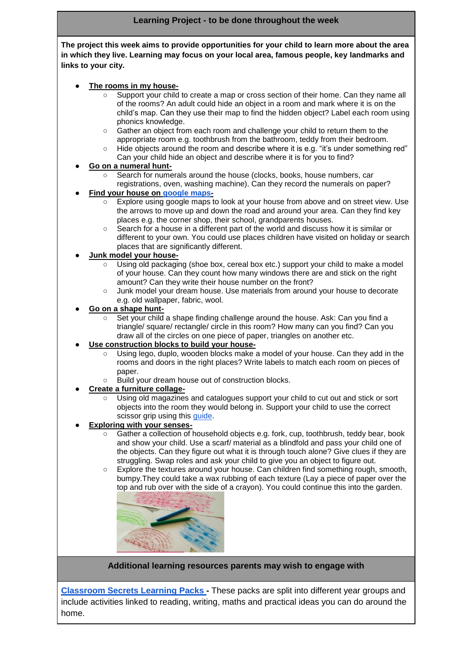#### **Learning Project - to be done throughout the week**

**The project this week aims to provide opportunities for your child to learn more about the area in which they live. Learning may focus on your local area, famous people, key landmarks and links to your city.**

#### The rooms in my house-

- Support your child to create a map or cross section of their home. Can they name all of the rooms? An adult could hide an object in a room and mark where it is on the child's map. Can they use their map to find the hidden object? Label each room using phonics knowledge.
- Gather an object from each room and challenge your child to return them to the appropriate room e.g. toothbrush from the bathroom, teddy from their bedroom.
- Hide objects around the room and describe where it is e.g. "it's under something red" Can your child hide an object and describe where it is for you to find?

#### ● **Go on a numeral hunt-**

- Search for numerals around the house (clocks, books, house numbers, car registrations, oven, washing machine). Can they record the numerals on paper?
- **Find your house on [google maps-](https://www.google.com/maps)** 
	- Explore using google maps to look at your house from above and on street view. Use the arrows to move up and down the road and around your area. Can they find key places e.g. the corner shop, their school, grandparents houses.
	- Search for a house in a different part of the world and discuss how it is similar or different to your own. You could use places children have visited on holiday or search places that are significantly different.

#### ● **Junk model your house-**

- Using old packaging (shoe box, cereal box etc.) support your child to make a model of your house. Can they count how many windows there are and stick on the right amount? Can they write their house number on the front?
- Junk model your dream house. Use materials from around your house to decorate e.g. old wallpaper, fabric, wool.

#### ● **Go on a shape hunt-**

Set your child a shape finding challenge around the house. Ask: Can you find a triangle/ square/ rectangle/ circle in this room? How many can you find? Can you draw all of the circles on one piece of paper, triangles on another etc.

#### **Use construction blocks to build your house-**

- Using lego, duplo, wooden blocks make a model of your house. Can they add in the rooms and doors in the right places? Write labels to match each room on pieces of paper.
- Build your dream house out of construction blocks.

#### ● **Create a furniture collage-**

Using old magazines and catalogues support your child to cut out and stick or sort objects into the room they would belong in. Support your child to use the correct scissor grip using this *guide*.

# **Exploring with your senses-**

- Gather a collection of household objects e.g. fork, cup, toothbrush, teddy bear, book and show your child. Use a scarf/ material as a blindfold and pass your child one of the objects. Can they figure out what it is through touch alone? Give clues if they are struggling. Swap roles and ask your child to give you an object to figure out.
- Explore the textures around your house. Can children find something rough, smooth, bumpy.They could take a wax rubbing of each texture (Lay a piece of paper over the top and rub over with the side of a crayon). You could continue this into the garden.



## **Additional learning resources parents may wish to engage with**

**[Classroom Secrets Learning Packs -](https://classroomsecrets.co.uk/free-home-learning-packs/)** These packs are split into different year groups and include activities linked to reading, writing, maths and practical ideas you can do around the home.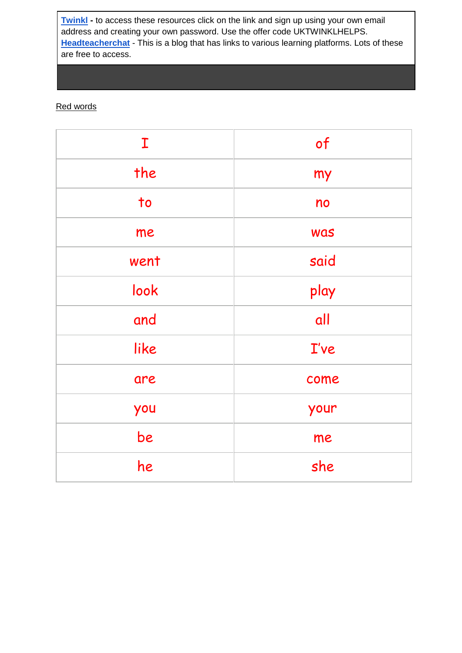**[Twinkl](https://www.twinkl.co.uk/offer/UKTWINKLHELPS?utm_source=promo&utm_medium=email&utm_campaign=England_coronavirus_schools_email&utm_content=offer_link) -** to access these resources click on the link and sign up using your own email address and creating your own password. Use the offer code UKTWINKLHELPS. **[Headteacherchat](https://www.headteacherchat.com/post/corona-virus-free-resources-for-teachers-and-schools)** - This is a blog that has links to various learning platforms. Lots of these are free to access.

# Red words

| $\mathbf I$            | of   |
|------------------------|------|
| the                    | my   |
| $\overline{\text{to}}$ | no   |
| me                     | was  |
| went                   | said |
| look                   | play |
| and                    | all  |
| like                   | I've |
| are                    | come |
| you                    | your |
| be                     | me   |
| he                     | she  |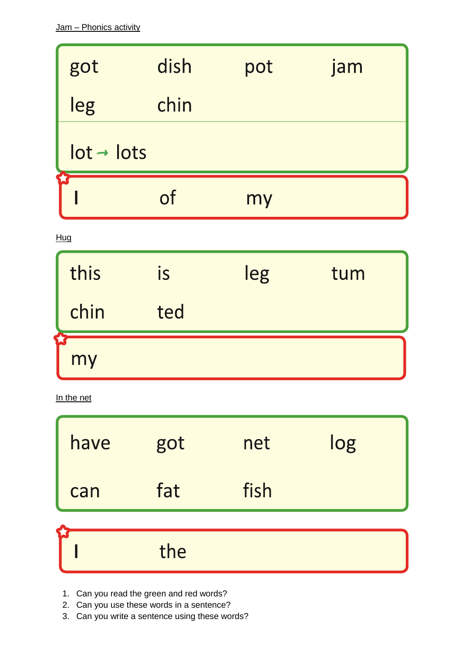| got                    | dish | pot | jam |  |  |
|------------------------|------|-----|-----|--|--|
| leg                    | chin |     |     |  |  |
| $lot \rightarrow lots$ |      |     |     |  |  |
|                        | nf   | my  |     |  |  |

 $Hug$ 

| this | <b>IS</b> | leg | tum |
|------|-----------|-----|-----|
| chin | ted       |     |     |
| my   |           |     |     |

In the net

| have | got | net  | log |
|------|-----|------|-----|
| can  | fat | fish |     |
|      |     |      |     |
|      | the |      |     |

- 1. Can you read the green and red words?
- 2. Can you use these words in a sentence?
- 3. Can you write a sentence using these words?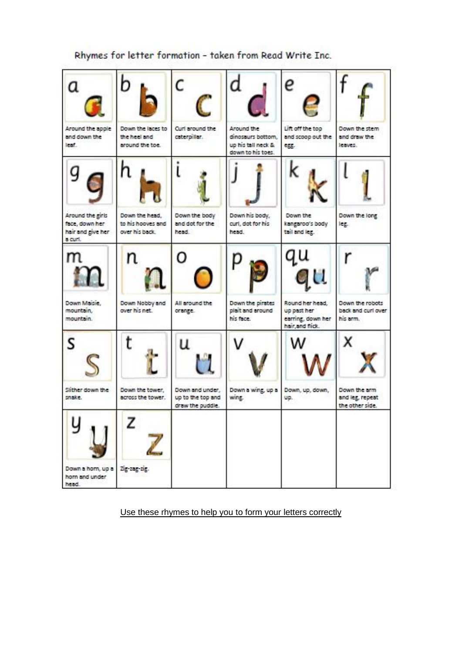# Rhymes for letter formation - taken from Read Write Inc.

| a                                                                  | b                                                     |                                                          |                                                                            |                                                                         |                                                    |
|--------------------------------------------------------------------|-------------------------------------------------------|----------------------------------------------------------|----------------------------------------------------------------------------|-------------------------------------------------------------------------|----------------------------------------------------|
| Around the apple<br>and down the<br>lear.                          | Down the laces to<br>the heel and<br>around the toe.  | Curi around the<br>caterpillar.                          | Around the<br>dinosaurs bottom,<br>up his tall neck &<br>down to his toes. | Lift off the top<br>and scoop out the<br>egg.                           | Down the stem<br>and draw the<br>leaves.           |
| g                                                                  |                                                       |                                                          |                                                                            |                                                                         |                                                    |
| Around the girls<br>face, down her<br>hair and give her<br>a curi. | Down the head,<br>to his hooves and<br>over his back. | Down the body<br>and dot for the<br>head.                | Down his body,<br>curl, dot for his<br>head.                               | Down the<br>kangaroo's body<br>tail and leg.                            | Down the long<br>leg.                              |
| m<br>m                                                             | n                                                     | Ο                                                        |                                                                            | Ü.                                                                      |                                                    |
| Down Maisie.<br>mountain.<br>mountain.                             | Down Nobby and<br>over his net.                       | All around the<br>orange.                                | Down the pirates<br>plait and around<br>his face.                          | Round her head.<br>up past her<br>earning, down her<br>hair, and flick. | Down the robots<br>back and curl over<br>his arm.  |
| S                                                                  | t                                                     | u                                                        |                                                                            |                                                                         | х                                                  |
| Slither down the<br>snake.                                         | Down the tower.<br>across the tower.                  | Down and under,<br>up to the top and<br>draw the puddle. | Down a wing, up a Down, up, down,<br>wing.                                 | UD.                                                                     | Down the arm<br>and leg, repeat<br>the other side. |
|                                                                    | z                                                     |                                                          |                                                                            |                                                                         |                                                    |
| Down a horn, up a Zig-zag-zig.<br>horn and under<br>head.          |                                                       |                                                          |                                                                            |                                                                         |                                                    |

# Use these rhymes to help you to form your letters correctly